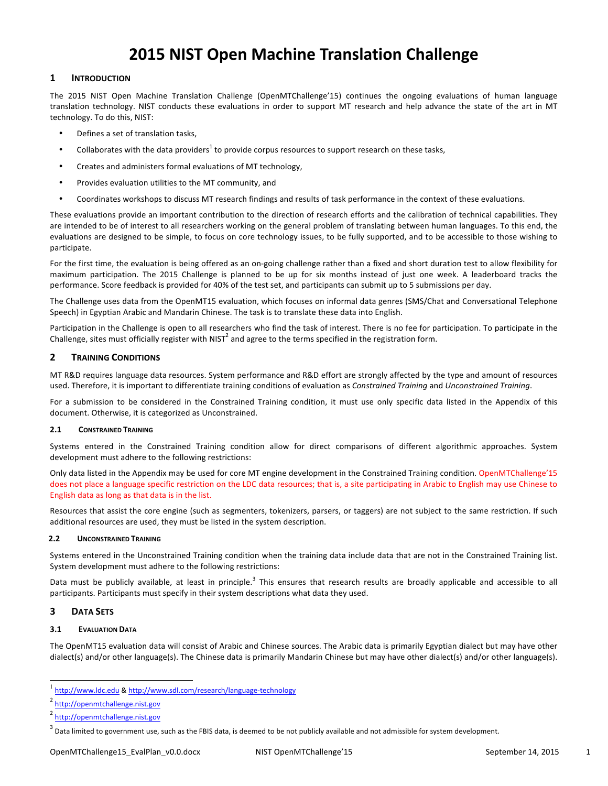# **2015 NIST Open Machine Translation Challenge**

## **1 INTRODUCTION**

The 2015 NIST Open Machine Translation Challenge (OpenMTChallenge'15) continues the ongoing evaluations of human language translation technology. NIST conducts these evaluations in order to support MT research and help advance the state of the art in MT technology. To do this, NIST:

- Defines a set of translation tasks,
- Collaborates with the data providers<sup>1</sup> to provide corpus resources to support research on these tasks,
- Creates and administers formal evaluations of MT technology,
- Provides evaluation utilities to the MT community, and
- Coordinates workshops to discuss MT research findings and results of task performance in the context of these evaluations.

These evaluations provide an important contribution to the direction of research efforts and the calibration of technical capabilities. They are intended to be of interest to all researchers working on the general problem of translating between human languages. To this end, the evaluations are designed to be simple, to focus on core technology issues, to be fully supported, and to be accessible to those wishing to participate.

For the first time, the evaluation is being offered as an on-going challenge rather than a fixed and short duration test to allow flexibility for maximum participation. The 2015 Challenge is planned to be up for six months instead of just one week. A leaderboard tracks the performance. Score feedback is provided for 40% of the test set, and participants can submit up to 5 submissions per day.

The Challenge uses data from the OpenMT15 evaluation, which focuses on informal data genres (SMS/Chat and Conversational Telephone Speech) in Egyptian Arabic and Mandarin Chinese. The task is to translate these data into English.

Participation in the Challenge is open to all researchers who find the task of interest. There is no fee for participation. To participate in the Challenge, sites must officially register with NIST<sup>2</sup> and agree to the terms specified in the registration form.

## **2 TRAINING CONDITIONS**

MT R&D requires language data resources. System performance and R&D effort are strongly affected by the type and amount of resources used. Therefore, it is important to differentiate training conditions of evaluation as *Constrained Training* and *Unconstrained Training*.

For a submission to be considered in the Constrained Training condition, it must use only specific data listed in the Appendix of this document. Otherwise, it is categorized as Unconstrained.

## **2.1 CONSTRAINED TRAINING**

Systems entered in the Constrained Training condition allow for direct comparisons of different algorithmic approaches. System development must adhere to the following restrictions:

Only data listed in the Appendix may be used for core MT engine development in the Constrained Training condition. OpenMTChallenge'15 does not place a language specific restriction on the LDC data resources; that is, a site participating in Arabic to English may use Chinese to English data as long as that data is in the list.

Resources that assist the core engine (such as segmenters, tokenizers, parsers, or taggers) are not subject to the same restriction. If such additional resources are used, they must be listed in the system description.

## 2.2 **UNCONSTRAINED TRAINING**

Systems entered in the Unconstrained Training condition when the training data include data that are not in the Constrained Training list. System development must adhere to the following restrictions:

Data must be publicly available, at least in principle.<sup>3</sup> This ensures that research results are broadly applicable and accessible to all participants. Participants must specify in their system descriptions what data they used.

## **3 DATA SETS**

## **3.1 EVALUATION DATA**

The OpenMT15 evaluation data will consist of Arabic and Chinese sources. The Arabic data is primarily Egyptian dialect but may have other dialect(s) and/or other language(s). The Chinese data is primarily Mandarin Chinese but may have other dialect(s) and/or other language(s).

http://www.ldc.edu & http://www.sdl.com/research/language-technology

<sup>2</sup> http://openmtchallenge.nist.gov

<sup>2</sup> http://openmtchallenge.nist.gov

 $3$  Data limited to government use, such as the FBIS data, is deemed to be not publicly available and not admissible for system development.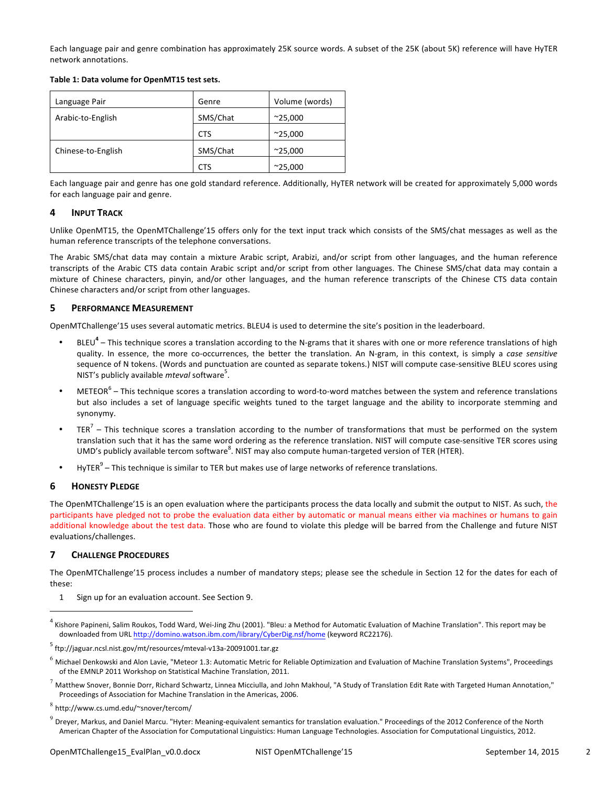Each language pair and genre combination has approximately 25K source words. A subset of the 25K (about 5K) reference will have HyTER network annotations.

Table 1: Data volume for OpenMT15 test sets.

| Language Pair      | Genre      | Volume (words)  |
|--------------------|------------|-----------------|
| Arabic-to-English  | SMS/Chat   | $^{\sim}25,000$ |
|                    | <b>CTS</b> | $^{\sim}25,000$ |
| Chinese-to-English | SMS/Chat   | $^{\sim}25,000$ |
|                    | CTS        | $^{\sim}25,000$ |

Each language pair and genre has one gold standard reference. Additionally, HyTER network will be created for approximately 5,000 words for each language pair and genre.

## **4 INPUT TRACK**

Unlike OpenMT15, the OpenMTChallenge'15 offers only for the text input track which consists of the SMS/chat messages as well as the human reference transcripts of the telephone conversations.

The Arabic SMS/chat data may contain a mixture Arabic script, Arabizi, and/or script from other languages, and the human reference transcripts of the Arabic CTS data contain Arabic script and/or script from other languages. The Chinese SMS/chat data may contain a mixture of Chinese characters, pinyin, and/or other languages, and the human reference transcripts of the Chinese CTS data contain Chinese characters and/or script from other languages.

## **5 PERFORMANCE MEASUREMENT**

OpenMTChallenge'15 uses several automatic metrics. BLEU4 is used to determine the site's position in the leaderboard.

- BLEU<sup>4</sup> This technique scores a translation according to the N-grams that it shares with one or more reference translations of high quality. In essence, the more co-occurrences, the better the translation. An N-gram, in this context, is simply a *case sensitive* sequence of N tokens. (Words and punctuation are counted as separate tokens.) NIST will compute case-sensitive BLEU scores using NIST's publicly available *mteval* software<sup>5</sup>.
- $METEOR<sup>6</sup>$  This technique scores a translation according to word-to-word matches between the system and reference translations but also includes a set of language specific weights tuned to the target language and the ability to incorporate stemming and synonymy.
- TER<sup>7</sup> This technique scores a translation according to the number of transformations that must be performed on the system translation such that it has the same word ordering as the reference translation. NIST will compute case-sensitive TER scores using UMD's publicly available tercom software<sup>8</sup>. NIST may also compute human-targeted version of TER (HTER).
- HyTER<sup>9</sup> This technique is similar to TER but makes use of large networks of reference translations.

## **6 HONESTY PLEDGE**

 $\overline{a}$ 

The OpenMTChallenge'15 is an open evaluation where the participants process the data locally and submit the output to NIST. As such, the participants have pledged not to probe the evaluation data either by automatic or manual means either via machines or humans to gain additional knowledge about the test data. Those who are found to violate this pledge will be barred from the Challenge and future NIST evaluations/challenges.

## **7 CHALLENGE PROCEDURES**

The OpenMTChallenge'15 process includes a number of mandatory steps; please see the schedule in Section 12 for the dates for each of these:

1 Sign up for an evaluation account. See Section 9.

Kishore Papineni, Salim Roukos, Todd Ward, Wei-Jing Zhu (2001). "Bleu: a Method for Automatic Evaluation of Machine Translation". This report may be downloaded from URL http://domino.watson.ibm.com/library/CyberDig.nsf/home (keyword RC22176).

 $^5$  ftp://jaguar.ncsl.nist.gov/mt/resources/mteval-v13a-20091001.tar.gz

 $^6$  Michael Denkowski and Alon Lavie, "Meteor 1.3: Automatic Metric for Reliable Optimization and Evaluation of Machine Translation Systems", Proceedings of the EMNLP 2011 Workshop on Statistical Machine Translation, 2011.

Matthew Snover, Bonnie Dorr, Richard Schwartz, Linnea Micciulla, and John Makhoul, "A Study of Translation Edit Rate with Targeted Human Annotation," Proceedings of Association for Machine Translation in the Americas, 2006.

http://www.cs.umd.edu/~snover/tercom/

 $^9$  Dreyer, Markus, and Daniel Marcu. "Hyter: Meaning-equivalent semantics for translation evaluation." Proceedings of the 2012 Conference of the North American Chapter of the Association for Computational Linguistics: Human Language Technologies. Association for Computational Linguistics, 2012.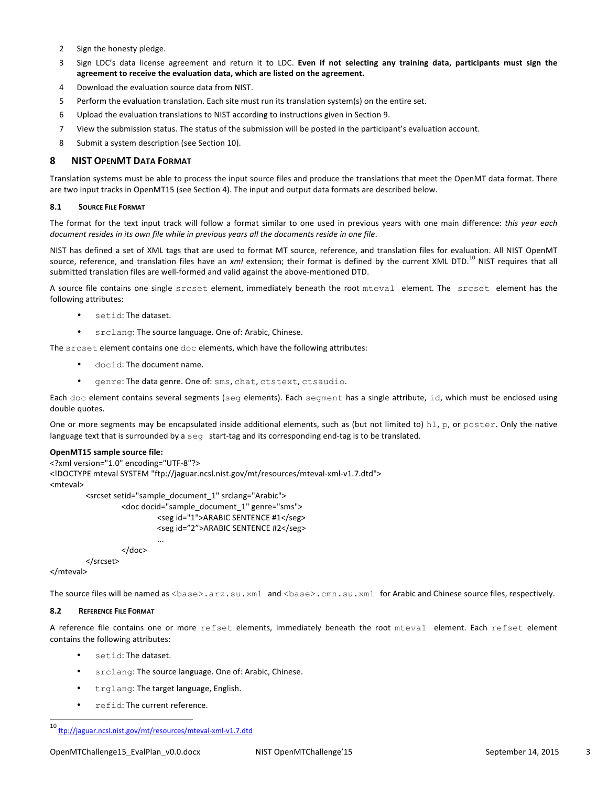- 2 Sign the honesty pledge.
- 3 Sign LDC's data license agreement and return it to LDC. Even if not selecting any training data, participants must sign the agreement to receive the evaluation data, which are listed on the agreement.
- 4 Download the evaluation source data from NIST.
- 5 Perform the evaluation translation. Each site must run its translation system(s) on the entire set.
- 6 Upload the evaluation translations to NIST according to instructions given in Section 9.
- 7 View the submission status. The status of the submission will be posted in the participant's evaluation account.
- 8 Submit a system description (see Section 10).

## **8 NIST OPENMT DATA FORMAT**

Translation systems must be able to process the input source files and produce the translations that meet the OpenMT data format. There are two input tracks in OpenMT15 (see Section 4). The input and output data formats are described below.

#### **8.1 SOURCE FILE FORMAT**

The format for the text input track will follow a format similar to one used in previous years with one main difference: *this year each document resides in its own file while in previous years all the documents reside in one file.* 

NIST has defined a set of XML tags that are used to format MT source, reference, and translation files for evaluation. All NIST OpenMT source, reference, and translation files have an xml extension; their format is defined by the current XML DTD.<sup>10</sup> NIST requires that all submitted translation files are well-formed and valid against the above-mentioned DTD.

A source file contains one single srcset element, immediately beneath the root mteval element. The srcset element has the following attributes:

- setid: The dataset.
- srclang: The source language. One of: Arabic, Chinese.

The  $\text{srcset}$  element contains one  $\text{doc}$  elements, which have the following attributes:

- docid: The document name.
- genre: The data genre. One of: sms, chat, ctstext, ctsaudio.

Each doc element contains several segments (seg elements). Each segment has a single attribute, id, which must be enclosed using double quotes.

One or more segments may be encapsulated inside additional elements, such as (but not limited to)  $h1$ , p, or poster. Only the native language text that is surrounded by a  $\sec$  start-tag and its corresponding end-tag is to be translated.

#### **OpenMT15** sample source file:

```
<?xml	version="1.0"	encoding="UTF-8"?>
<! DOCTYPE mteval SYSTEM "ftp://jaguar.ncsl.nist.gov/mt/resources/mteval-xml-v1.7.dtd">
<mteval>
         <srcset setid="sample_document_1" srclang="Arabic">
                  <doc docid="sample_document_1" genre="sms">
                           <seg id="1">ARABIC SENTENCE #1</seg>
                           <seg id="2">ARABIC SENTENCE #2</seg>
                           ...
                  </doc>
         </srcset>
```
</mteval>

The source files will be named as <base>.arz.su.xml and <base>.cmn.su.xml for Arabic and Chinese source files, respectively.

## **8.2** REFERENCE FILE FORMAT

A reference file contains one or more refset elements, immediately beneath the root mteval element. Each refset element contains the following attributes:

- setid: The dataset.
- srclang: The source language. One of: Arabic, Chinese.
- trglang: The target language, English.
- refid: The current reference.

<sup>10</sup> ftp://jaguar.ncsl.nist.gov/mt/resources/mteval-xml-v1.7.dtd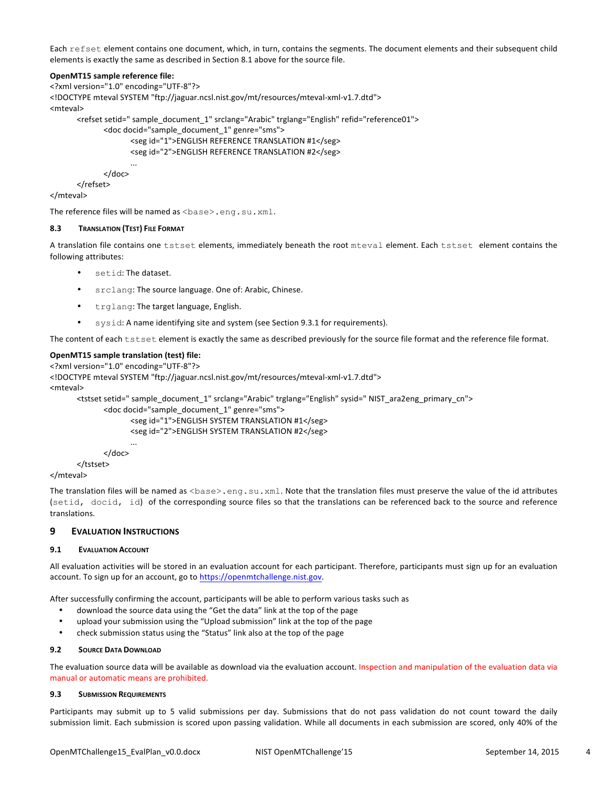Each refset element contains one document, which, in turn, contains the segments. The document elements and their subsequent child elements is exactly the same as described in Section 8.1 above for the source file.

#### **OpenMT15 sample reference file:**

<?xml version="1.0" encoding="UTF-8"?> <!DOCTYPE mteval SYSTEM "ftp://jaguar.ncsl.nist.gov/mt/resources/mteval-xml-v1.7.dtd"> <mteval> <refset setid=" sample\_document\_1" srclang="Arabic" trglang="English" refid="reference01"> <doc docid="sample\_document\_1" genre="sms"> <seg id="1">ENGLISH REFERENCE TRANSLATION #1</seg> <seg id="2">ENGLISH REFERENCE TRANSLATION #2</seg> ...

</doc> </refset>

</mteval>

The reference files will be named as <base>.eng.su.xml.

#### **8.3 TRANSLATION (TEST)** FILE FORMAT

A translation file contains one tstset elements, immediately beneath the root mteval element. Each tstset element contains the following attributes:

- setid: The dataset.
- srclang: The source language. One of: Arabic, Chinese.
- trglang: The target language, English.
- sysid: A name identifying site and system (see Section 9.3.1 for requirements).

The content of each tstset element is exactly the same as described previously for the source file format and the reference file format.

#### **OpenMT15** sample translation (test) file:

```
<?xml	version="1.0"	encoding="UTF-8"?>
<! DOCTYPE mteval SYSTEM "ftp://jaguar.ncsl.nist.gov/mt/resources/mteval-xml-v1.7.dtd">
<mteval>
```

```
<tstset setid=" sample_document_1" srclang="Arabic" trglang="English" sysid=" NIST_ara2eng_primary_cn">
```
#### <doc docid="sample\_document\_1" genre="sms">

```
<seg	id="1">ENGLISH	SYSTEM	TRANSLATION	#1</seg>
<seg id="2">ENGLISH SYSTEM TRANSLATION #2</seg>
...
```

```
</doc>
</tstset>
```
</mteval>

The translation files will be named as <base>.eng.su.xml. Note that the translation files must preserve the value of the id attributes (setid, docid, id) of the corresponding source files so that the translations can be referenced back to the source and reference translations.

## **9 EVALUATION INSTRUCTIONS**

#### **9.1 <b>EVALUATION ACCOUNT**

All evaluation activities will be stored in an evaluation account for each participant. Therefore, participants must sign up for an evaluation account. To sign up for an account, go to https://openmtchallenge.nist.gov.

After successfully confirming the account, participants will be able to perform various tasks such as

- download the source data using the "Get the data" link at the top of the page
- upload your submission using the "Upload submission" link at the top of the page
- check submission status using the "Status" link also at the top of the page

#### **9.2 SOURCE DATA DOWNLOAD**

The evaluation source data will be available as download via the evaluation account. Inspection and manipulation of the evaluation data via manual or automatic means are prohibited.

#### **9.3 SUBMISSION REQUIREMENTS**

Participants may submit up to 5 valid submissions per day. Submissions that do not pass validation do not count toward the daily submission limit. Each submission is scored upon passing validation. While all documents in each submission are scored, only 40% of the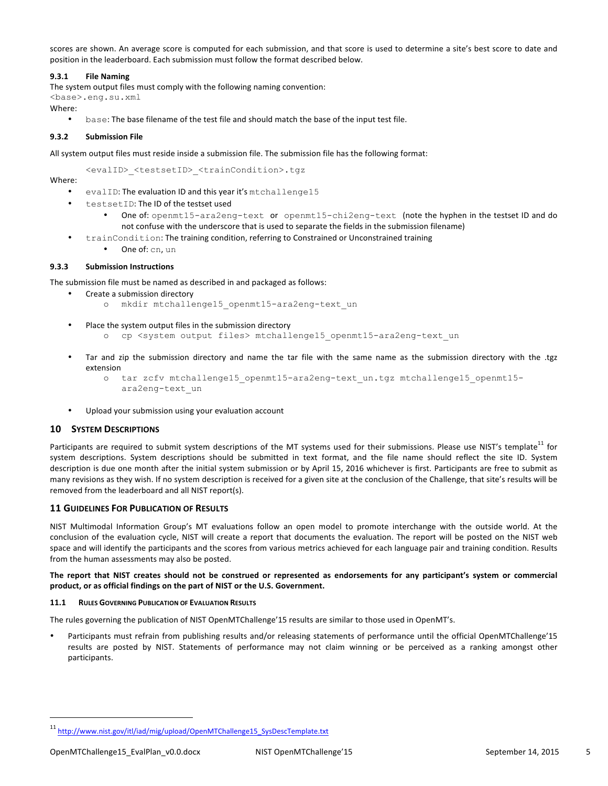scores are shown. An average score is computed for each submission, and that score is used to determine a site's best score to date and position in the leaderboard. Each submission must follow the format described below.

## **9.3.1 File Naming**

The system output files must comply with the following naming convention:

<base>.eng.su.xml

Where:

base: The base filename of the test file and should match the base of the input test file.

## **9.3.2 Submission File**

All system output files must reside inside a submission file. The submission file has the following format:

<evalID> <testsetID> <trainCondition>.tgz

Where:

evalID: The evaluation ID and this year it's mtchallenge15

- testsetID: The ID of the testset used
	- One of: openmt15-ara2eng-text or openmt15-chi2eng-text (note the hyphen in the testset ID and do not confuse with the underscore that is used to separate the fields in the submission filename)
- trainCondition: The training condition, referring to Constrained or Unconstrained training
	- **One of:** cn, un

#### **9.3.3 Submission Instructions**

The submission file must be named as described in and packaged as follows:

- Create a submission directory o mkdir mtchallenge15\_openmt15-ara2eng-text\_un
- Place the system output files in the submission directory
	- o cp <system output files> mtchallenge15\_openmt15-ara2eng-text\_un
- Tar and zip the submission directory and name the tar file with the same name as the submission directory with the .tgz extension

```
o tar zcfv mtchallenge15_openmt15-ara2eng-text_un.tgz mtchallenge15_openmt15-
   ara2eng-text_un
```
Upload your submission using your evaluation account

## **10 SYSTEM DESCRIPTIONS**

Participants are required to submit system descriptions of the MT systems used for their submissions. Please use NIST's template<sup>11</sup> for system descriptions. System descriptions should be submitted in text format, and the file name should reflect the site ID. System description is due one month after the initial system submission or by April 15, 2016 whichever is first. Participants are free to submit as many revisions as they wish. If no system description is received for a given site at the conclusion of the Challenge, that site's results will be removed from the leaderboard and all NIST report(s).

## **11 GUIDELINES FOR PUBLICATION OF RESULTS**

NIST Multimodal Information Group's MT evaluations follow an open model to promote interchange with the outside world. At the conclusion of the evaluation cycle, NIST will create a report that documents the evaluation. The report will be posted on the NIST web space and will identify the participants and the scores from various metrics achieved for each language pair and training condition. Results from the human assessments may also be posted.

#### The report that NIST creates should not be construed or represented as endorsements for any participant's system or commercial product, or as official findings on the part of NIST or the U.S. Government.

#### **11.1 RULES GOVERNING PUBLICATION OF EVALUATION RESULTS**

The rules governing the publication of NIST OpenMTChallenge'15 results are similar to those used in OpenMT's.

Participants must refrain from publishing results and/or releasing statements of performance until the official OpenMTChallenge'15 results are posted by NIST. Statements of performance may not claim winning or be perceived as a ranking amongst other participants.

 $\overline{a}$ 

<sup>11</sup> http://www.nist.gov/itl/iad/mig/upload/OpenMTChallenge15\_SysDescTemplate.txt